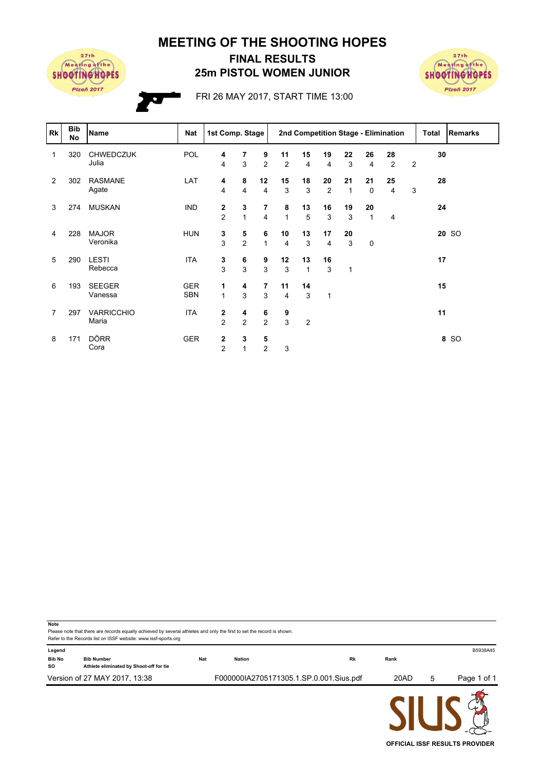**MEETING OF THE SHOOTING HOPES**



## **25m PISTOL WOMEN JUNIOR FINAL RESULTS**



FRI 26 MAY 2017, START TIME 13:00

| <b>Rk</b>      | <b>Bib</b><br>No | <b>Name</b>                | Nat                      | 1st Comp. Stage                |                              |                      | 2nd Competition Stage - Elimination |                |                      |                    | Total              | <b>Remarks</b> |   |    |       |
|----------------|------------------|----------------------------|--------------------------|--------------------------------|------------------------------|----------------------|-------------------------------------|----------------|----------------------|--------------------|--------------------|----------------|---|----|-------|
| 1              | 320              | <b>CHWEDCZUK</b><br>Julia  | POL                      | 4<br>4                         | 7<br>3                       | 9<br>$\overline{2}$  | 11<br>$\overline{2}$                | 15<br>4        | 19<br>4              | 22<br>3            | 26<br>4            | 28<br>2        | 2 | 30 |       |
| $\overline{2}$ | 302              | <b>RASMANE</b><br>Agate    | LAT                      | 4<br>4                         | 8<br>$\overline{4}$          | 12<br>$\overline{4}$ | 15<br>3                             | 18<br>3        | 20<br>$\overline{2}$ | 21<br>$\mathbf{1}$ | 21<br>$\mathbf 0$  | 25<br>4        | 3 | 28 |       |
| 3              | 274              | <b>MUSKAN</b>              | <b>IND</b>               | $\mathbf{2}$<br>$\overline{2}$ | 3<br>$\mathbf{1}$            | $\overline{7}$<br>4  | 8<br>$\mathbf{1}$                   | 13<br>5        | 16<br>3              | 19<br>3            | 20<br>$\mathbf{1}$ | 4              |   | 24 |       |
| 4              | 228              | <b>MAJOR</b><br>Veronika   | <b>HUN</b>               | 3<br>3                         | 5<br>2                       | 6<br>$\mathbf{1}$    | 10<br>$\overline{4}$                | 13<br>3        | 17<br>$\overline{4}$ | 20<br>3            | 0                  |                |   |    | 20 SO |
| 5              | 290              | <b>LESTI</b><br>Rebecca    | <b>ITA</b>               | 3<br>3                         | 6<br>3                       | 9<br>3               | 12<br>3                             | 13<br>1        | 16<br>3              | $\mathbf{1}$       |                    |                |   | 17 |       |
| 6              | 193              | <b>SEEGER</b><br>Vanessa   | <b>GER</b><br><b>SBN</b> | 1<br>$\mathbf{1}$              | 4<br>3                       | $\overline{7}$<br>3  | 11<br>$\overline{4}$                | 14<br>3        | 1                    |                    |                    |                |   | 15 |       |
| 7              | 297              | <b>VARRICCHIO</b><br>Maria | <b>ITA</b>               | $\mathbf{2}$<br>$\overline{2}$ | 4<br>$\overline{2}$          | 6<br>$\overline{2}$  | 9<br>3                              | $\overline{2}$ |                      |                    |                    |                |   | 11 |       |
| 8              | 171              | <b>DÖRR</b><br>Cora        | <b>GER</b>               | $\mathbf 2$<br>$\overline{2}$  | $\mathbf{3}$<br>$\mathbf{1}$ | 5<br>$\overline{2}$  | 3                                   |                |                      |                    |                    |                |   |    | 8 SO  |

| <b>Note</b><br>Please note that there are records equally achieved by several athletes and only the first to set the record is shown.<br>Refer to the Records list on ISSF website: www.issf-sports.org |                                                              |            |                                         |    |      |   |             |  |  |  |
|---------------------------------------------------------------------------------------------------------------------------------------------------------------------------------------------------------|--------------------------------------------------------------|------------|-----------------------------------------|----|------|---|-------------|--|--|--|
| Legend<br><b>Bib No</b><br><b>SO</b>                                                                                                                                                                    | <b>Bib Number</b><br>Athlete eliminated by Shoot-off for tie | <b>Nat</b> | <b>Nation</b>                           | Rk | Rank |   | B5938A45    |  |  |  |
| Version of 27 MAY 2017, 13:38                                                                                                                                                                           |                                                              |            | F000000IA2705171305.1.SP.0.001.Sius.pdf |    | 20AD | 5 | Page 1 of 1 |  |  |  |
|                                                                                                                                                                                                         |                                                              |            |                                         |    |      |   |             |  |  |  |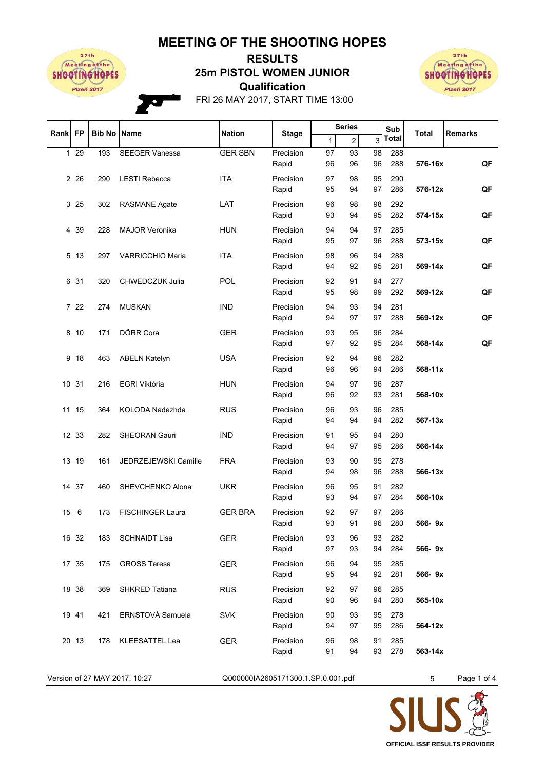## **MEETING OF THE SHOOTING HOPES**



## **Qualification 25m PISTOL WOMEN JUNIOR RESULTS**



FRI 26 MAY 2017, START TIME 13:00

| Rank            | <b>FP</b> |     | <b>Nation</b><br><b>Bib No   Name</b> | <b>Stage</b>   | <b>Series</b>      |              | Sub<br><b>Total</b> |          | <b>Remarks</b> |         |    |
|-----------------|-----------|-----|---------------------------------------|----------------|--------------------|--------------|---------------------|----------|----------------|---------|----|
|                 |           |     |                                       |                |                    | $\mathbf{1}$ | $\overline{2}$      | 3        | Total          |         |    |
| $\mathbf{1}$    | 29        | 193 | <b>SEEGER Vanessa</b>                 | <b>GER SBN</b> | Precision          | 97           | 93                  | 98       | 288            |         |    |
|                 |           |     |                                       |                | Rapid              | 96           | 96                  | 96       | 288            | 576-16x | QF |
|                 | 2 2 6     | 290 | <b>LESTI Rebecca</b>                  | <b>ITA</b>     | Precision          | 97           | 98                  | 95       | 290            |         |    |
|                 |           |     |                                       |                | Rapid              | 95           | 94                  | 97       | 286            | 576-12x | QF |
|                 | 3 25      | 302 | <b>RASMANE Agate</b>                  | LAT            | Precision          | 96           | 98                  | 98       | 292            |         |    |
|                 |           |     |                                       |                | Rapid              | 93           | 94                  | 95       | 282            | 574-15x | QF |
| 4               | 39        | 228 | <b>MAJOR Veronika</b>                 | <b>HUN</b>     | Precision          | 94           | 94                  | 97       | 285            |         |    |
|                 |           |     |                                       |                | Rapid              | 95           | 97                  | 96       | 288            | 573-15x | QF |
| 5               | 13        | 297 | <b>VARRICCHIO Maria</b>               | <b>ITA</b>     | Precision          | 98           | 96                  | 94       | 288            |         |    |
|                 |           |     |                                       |                | Rapid              | 94           | 92                  | 95       | 281            | 569-14x | QF |
|                 | 6 31      | 320 | <b>CHWEDCZUK Julia</b>                | POL            | Precision          | 92           | 91                  | 94       | 277            |         |    |
|                 |           |     |                                       |                | Rapid              | 95           | 98                  | 99       | 292            | 569-12x | QF |
|                 |           |     |                                       |                |                    |              |                     |          |                |         |    |
|                 | 7 22      | 274 | <b>MUSKAN</b>                         | <b>IND</b>     | Precision<br>Rapid | 94<br>94     | 93<br>97            | 94<br>97 | 281<br>288     | 569-12x | QF |
|                 |           |     |                                       |                |                    |              |                     |          |                |         |    |
| 8               | 10        | 171 | DÖRR Cora                             | <b>GER</b>     | Precision          | 93           | 95                  | 96       | 284            |         |    |
|                 |           |     |                                       |                | Rapid              | 97           | 92                  | 95       | 284            | 568-14x | QF |
| 9               | 18        | 463 | <b>ABELN Katelyn</b>                  | <b>USA</b>     | Precision          | 92           | 94                  | 96       | 282            |         |    |
|                 |           |     |                                       |                | Rapid              | 96           | 96                  | 94       | 286            | 568-11x |    |
| 10 <sup>°</sup> | 31        | 216 | EGRI Viktória                         | <b>HUN</b>     | Precision          | 94           | 97                  | 96       | 287            |         |    |
|                 |           |     |                                       |                | Rapid              | 96           | 92                  | 93       | 281            | 568-10x |    |
|                 | 11 15     | 364 | KOLODA Nadezhda                       | <b>RUS</b>     | Precision          | 96           | 93                  | 96       | 285            |         |    |
|                 |           |     |                                       |                | Rapid              | 94           | 94                  | 94       | 282            | 567-13x |    |
|                 | 12 33     | 282 | <b>SHEORAN Gauri</b>                  | <b>IND</b>     | Precision          | 91           | 95                  | 94       | 280            |         |    |
|                 |           |     |                                       |                | Rapid              | 94           | 97                  | 95       | 286            | 566-14x |    |
| 13              | 19        | 161 | JEDRZEJEWSKI Camille                  | <b>FRA</b>     | Precision          | 93           | 90                  | 95       | 278            |         |    |
|                 |           |     |                                       |                | Rapid              | 94           | 98                  | 96       | 288            | 566-13x |    |
|                 | 14 37     | 460 | SHEVCHENKO Alona                      | <b>UKR</b>     | Precision          | 96           | 95                  | 91       | 282            |         |    |
|                 |           |     |                                       |                | Rapid              | 93           | 94                  | 97       | 284            | 566-10x |    |
| 15              | 6         | 173 | <b>FISCHINGER Laura</b>               | <b>GER BRA</b> | Precision          | 92           | 97                  | 97       | 286            |         |    |
|                 |           |     |                                       |                | Rapid              | 93           | 91                  | 96       | 280            | 566-9x  |    |
|                 |           |     |                                       |                |                    |              |                     |          |                |         |    |
|                 | 16 32     | 183 | <b>SCHNAIDT Lisa</b>                  | <b>GER</b>     | Precision<br>Rapid | 93<br>97     | 96<br>93            | 93<br>94 | 282<br>284     | 566-9x  |    |
|                 |           |     |                                       |                |                    |              |                     |          |                |         |    |
|                 | 17 35     | 175 | <b>GROSS Teresa</b>                   | <b>GER</b>     | Precision          | 96           | 94                  | 95       | 285            |         |    |
|                 |           |     |                                       |                | Rapid              | 95           | 94                  | 92       | 281            | 566-9x  |    |
|                 | 18 38     | 369 | SHKRED Tatiana                        | <b>RUS</b>     | Precision          | 92           | 97                  | 96       | 285            |         |    |
|                 |           |     |                                       |                | Rapid              | 90           | 96                  | 94       | 280            | 565-10x |    |
|                 | 19 41     | 421 | ERNSTOVÁ Samuela                      | <b>SVK</b>     | Precision          | 90           | 93                  | 95       | 278            |         |    |
|                 |           |     |                                       |                | Rapid              | 94           | 97                  | 95       | 286            | 564-12x |    |
|                 | 20 13     | 178 | <b>KLEESATTEL Lea</b>                 | <b>GER</b>     | Precision          | 96           | 98                  | 91       | 285            |         |    |
|                 |           |     |                                       |                | Rapid              | 91           | 94                  | 93       | 278            | 563-14x |    |
|                 |           |     |                                       |                |                    |              |                     |          |                |         |    |

Version of 27 MAY 2017, 10:27 CO00000IA2605171300.1.SP.0.001.pdf 5 Page 1 of 4

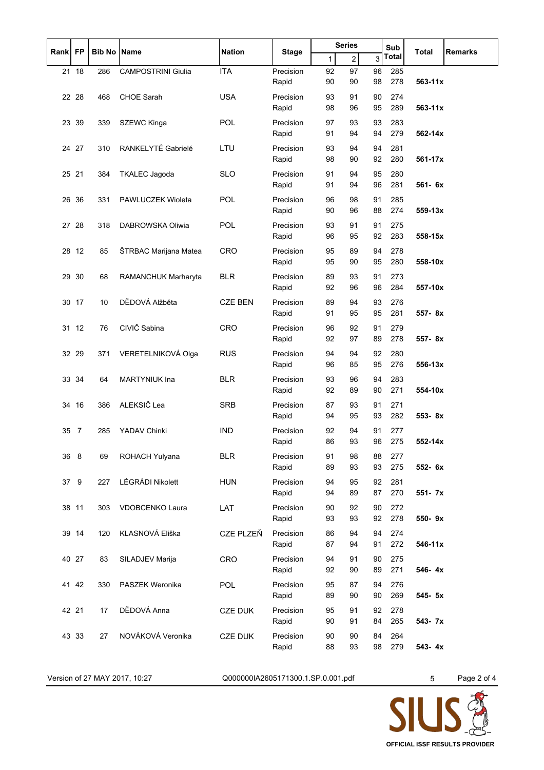| Rank | <b>FP</b> | <b>Bib No Name</b> |                           | <b>Nation</b>  |                    | <b>Series</b> |                | Sub      | Total        | <b>Remarks</b> |  |
|------|-----------|--------------------|---------------------------|----------------|--------------------|---------------|----------------|----------|--------------|----------------|--|
|      |           |                    |                           |                | <b>Stage</b>       | 1             | $\overline{2}$ | 3        | <b>Total</b> |                |  |
|      | 21 18     | 286                | <b>CAMPOSTRINI Giulia</b> | <b>ITA</b>     | Precision          | 92            | 97             | 96       | 285          |                |  |
|      |           |                    |                           |                | Rapid              | 90            | 90             | 98       | 278          | $563 - 11x$    |  |
|      | 22 28     | 468                | <b>CHOE Sarah</b>         | <b>USA</b>     | Precision          | 93            | 91             | 90<br>95 | 274<br>289   | $563 - 11x$    |  |
|      |           |                    |                           |                | Rapid              | 98            | 96             |          |              |                |  |
|      | 23 39     | 339                | SZEWC Kinga               | <b>POL</b>     | Precision<br>Rapid | 97<br>91      | 93<br>94       | 93<br>94 | 283<br>279   | 562-14x        |  |
|      |           |                    | RANKELYTÉ Gabrielé        |                | Precision          |               |                |          |              |                |  |
|      | 24 27     | 310                |                           | LTU            | Rapid              | 93<br>98      | 94<br>90       | 94<br>92 | 281<br>280   | 561-17x        |  |
|      | 25 21     | 384                | <b>TKALEC Jagoda</b>      | <b>SLO</b>     | Precision          | 91            | 94             | 95       | 280          |                |  |
|      |           |                    |                           |                | Rapid              | 91            | 94             | 96       | 281          | 561- 6x        |  |
| 26   | 36        | 331                | PAWLUCZEK Wioleta         | POL            | Precision          | 96            | 98             | 91       | 285          |                |  |
|      |           |                    |                           |                | Rapid              | 90            | 96             | 88       | 274          | 559-13x        |  |
|      | 27 28     | 318                | <b>DABROWSKA Oliwia</b>   | <b>POL</b>     | Precision          | 93            | 91             | 91       | 275          |                |  |
|      |           |                    |                           |                | Rapid              | 96            | 95             | 92       | 283          | 558-15x        |  |
|      | 28 12     | 85                 | ŠTRBAC Marijana Matea     | <b>CRO</b>     | Precision          | 95            | 89             | 94       | 278          |                |  |
|      |           |                    |                           |                | Rapid              | 95            | 90             | 95       | 280          | 558-10x        |  |
| 29   | 30        | 68                 | RAMANCHUK Marharyta       | <b>BLR</b>     | Precision          | 89            | 93             | 91       | 273          |                |  |
|      |           |                    |                           |                | Rapid              | 92            | 96             | 96       | 284          | 557-10x        |  |
|      | 30 17     | 10                 | DĚDOVÁ Alžběta            | <b>CZE BEN</b> | Precision          | 89            | 94             | 93       | 276          |                |  |
|      |           |                    |                           |                | Rapid              | 91            | 95             | 95       | 281          | 557-8x         |  |
|      | 31 12     | 76                 | CIVIČ Sabina              | CRO            | Precision          | 96            | 92             | 91       | 279          |                |  |
|      |           |                    |                           |                | Rapid              | 92            | 97             | 89       | 278          | 557-8x         |  |
|      | 32 29     | 371                | VERETELNIKOVÁ Olga        | <b>RUS</b>     | Precision          | 94            | 94             | 92       | 280          |                |  |
|      |           |                    |                           |                | Rapid              | 96            | 85             | 95       | 276          | 556-13x        |  |
|      | 33 34     | 64                 | <b>MARTYNIUK Ina</b>      | <b>BLR</b>     | Precision          | 93            | 96             | 94       | 283          |                |  |
|      |           |                    |                           |                | Rapid              | 92            | 89             | 90       | 271          | 554-10x        |  |
| 34   | 16        | 386                | ALEKSIČ Lea               | <b>SRB</b>     | Precision<br>Rapid | 87<br>94      | 93<br>95       | 91<br>93 | 271<br>282   | 553-8x         |  |
|      |           |                    |                           |                |                    |               |                |          |              |                |  |
| 35   | 7         | 285                | YADAV Chinki              | <b>IND</b>     | Precision<br>Rapid | 92<br>86      | 94<br>93       | 91<br>96 | 277<br>275   | 552-14x        |  |
|      | 36 8      | 69                 | ROHACH Yulyana            | <b>BLR</b>     | Precision          | 91            | 98             | 88       | 277          |                |  |
|      |           |                    |                           |                | Rapid              | 89            | 93             | 93       | 275          | 552- 6x        |  |
| 37   | 9         | 227                | LÉGRÁDI Nikolett          | <b>HUN</b>     | Precision          | 94            | 95             | 92       | 281          |                |  |
|      |           |                    |                           |                | Rapid              | 94            | 89             | 87       | 270          | 551- 7x        |  |
|      | 38 11     | 303                | VDOBCENKO Laura           | LAT            | Precision          | 90            | 92             | 90       | 272          |                |  |
|      |           |                    |                           |                | Rapid              | 93            | 93             | 92       | 278          | 550-9x         |  |
|      | 39 14     | 120                | KLASNOVÁ Eliška           | CZE PLZEŇ      | Precision          | 86            | 94             | 94       | 274          |                |  |
|      |           |                    |                           |                | Rapid              | 87            | 94             | 91       | 272          | 546-11x        |  |
|      | 40 27     | 83                 | SILADJEV Marija           | CRO            | Precision          | 94            | 91             | 90       | 275          |                |  |
|      |           |                    |                           |                | Rapid              | 92            | 90             | 89       | 271          | 546-4x         |  |
|      | 41 42     | 330                | PASZEK Weronika           | <b>POL</b>     | Precision          | 95            | 87             | 94       | 276          |                |  |
|      |           |                    |                           |                | Rapid              | 89            | 90             | 90       | 269          | 545- 5x        |  |
|      | 42 21     | 17                 | DĚDOVÁ Anna               | CZE DUK        | Precision          | 95            | 91             | 92       | 278          |                |  |
|      |           |                    |                           |                | Rapid              | 90            | 91             | 84       | 265          | 543- 7x        |  |
|      | 43 33     | 27                 | NOVÁKOVÁ Veronika         | <b>CZE DUK</b> | Precision          | 90            | 90             | 84       | 264          |                |  |
|      |           |                    |                           |                | Rapid              | 88            | 93             | 98       | 279          | 543-4x         |  |

Version of 27 MAY 2017, 10:27 CO00000IA2605171300.1.SP.0.001.pdf 5 Page 2 of 4

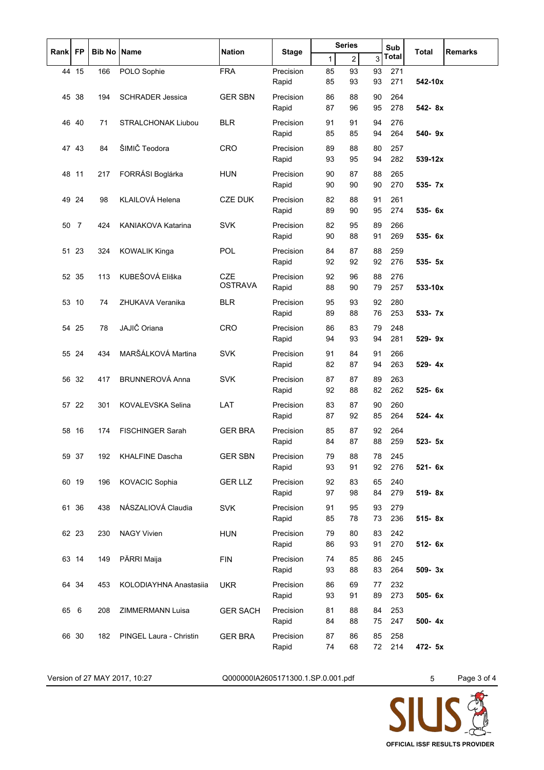| <b>FP</b><br>Rank |                | <b>Bib No</b> | <b>Name</b>               | <b>Nation</b>   | Stage              | <b>Series</b> |                |          | Sub        | Total      | <b>Remarks</b> |
|-------------------|----------------|---------------|---------------------------|-----------------|--------------------|---------------|----------------|----------|------------|------------|----------------|
|                   |                |               |                           |                 |                    | 1             | $\overline{2}$ | 3        | Total      |            |                |
|                   | 44 15          | 166           | POLO Sophie               | <b>FRA</b>      | Precision          | 85            | 93             | 93       | 271        |            |                |
|                   |                |               |                           |                 | Rapid              | 85            | 93             | 93       | 271        | 542-10x    |                |
| 45                | 38             | 194           | <b>SCHRADER Jessica</b>   | <b>GER SBN</b>  | Precision          | 86            | 88             | 90       | 264<br>278 |            |                |
|                   |                |               |                           |                 | Rapid              | 87            | 96             | 95       |            | 542-8x     |                |
|                   | 46 40          | 71            | STRALCHONAK Liubou        | <b>BLR</b>      | Precision<br>Rapid | 91<br>85      | 91<br>85       | 94<br>94 | 276<br>264 | 540-9x     |                |
|                   |                |               | ŠIMIČ Teodora             |                 |                    |               |                |          |            |            |                |
|                   | 47 43          | 84            |                           | <b>CRO</b>      | Precision<br>Rapid | 89<br>93      | 88<br>95       | 80<br>94 | 257<br>282 | 539-12x    |                |
| 48                | 11             | 217           | FORRÁSI Boglárka          | <b>HUN</b>      | Precision          | 90            | 87             | 88       | 265        |            |                |
|                   |                |               |                           |                 | Rapid              | 90            | 90             | 90       | 270        | 535- 7x    |                |
|                   | 49 24          | 98            | KLAILOVÁ Helena           | <b>CZE DUK</b>  | Precision          | 82            | 88             | 91       | 261        |            |                |
|                   |                |               |                           |                 | Rapid              | 89            | 90             | 95       | 274        | 535- 6x    |                |
| 50                | $\overline{7}$ | 424           | <b>KANIAKOVA Katarina</b> | <b>SVK</b>      | Precision          | 82            | 95             | 89       | 266        |            |                |
|                   |                |               |                           |                 | Rapid              | 90            | 88             | 91       | 269        | 535- 6x    |                |
| 51                | 23             | 324           | <b>KOWALIK Kinga</b>      | POL             | Precision          | 84            | 87             | 88       | 259        |            |                |
|                   |                |               |                           |                 | Rapid              | 92            | 92             | 92       | 276        | 535- 5x    |                |
|                   | 52 35          | 113           | KUBEŠOVÁ Eliška           | <b>CZE</b>      | Precision          | 92            | 96             | 88       | 276        |            |                |
|                   |                |               |                           | <b>OSTRAVA</b>  | Rapid              | 88            | 90             | 79       | 257        | 533-10x    |                |
|                   | 53 10          | 74            | ZHUKAVA Veranika          | <b>BLR</b>      | Precision          | 95            | 93             | 92       | 280        |            |                |
|                   |                |               |                           |                 | Rapid              | 89            | 88             | 76       | 253        | 533- 7x    |                |
| 54                | 25             | 78            | JAJIČ Oriana              | CRO             | Precision          | 86            | 83             | 79       | 248        |            |                |
|                   |                |               |                           |                 | Rapid              | 94            | 93             | 94       | 281        | 529-9x     |                |
|                   | 55 24          | 434           | MARŠÁLKOVÁ Martina        | <b>SVK</b>      | Precision          | 91            | 84             | 91       | 266        |            |                |
|                   |                |               |                           |                 | Rapid              | 82            | 87             | 94       | 263        | 529-4x     |                |
|                   | 56 32          | 417           | BRUNNEROVÁ Anna           | <b>SVK</b>      | Precision          | 87            | 87             | 89       | 263        |            |                |
|                   |                |               |                           |                 | Rapid              | 92            | 88             | 82       | 262        | 525- 6x    |                |
|                   | 57 22          | 301           | <b>KOVALEVSKA Selina</b>  | LAT             | Precision          | 83            | 87             | 90       | 260<br>264 |            |                |
|                   |                |               |                           |                 | Rapid              | 87            | 92             | 85       |            | 524-4x     |                |
| 58                | 16             | 174           | <b>FISCHINGER Sarah</b>   | <b>GER BRA</b>  | Precision<br>Rapid | 85<br>84      | 87<br>87       | 92<br>88 | 264<br>259 | 523- 5x    |                |
|                   | 59 37          |               | <b>KHALFINE Dascha</b>    |                 |                    | 79            |                |          |            |            |                |
|                   |                | 192           |                           | <b>GER SBN</b>  | Precision<br>Rapid | 93            | 88<br>91       | 78<br>92 | 245<br>276 | 521- 6x    |                |
|                   | 60 19          | 196           | KOVACIC Sophia            | <b>GER LLZ</b>  | Precision          | 92            | 83             | 65       | 240        |            |                |
|                   |                |               |                           |                 | Rapid              | 97            | 98             | 84       | 279        | 519-8x     |                |
|                   | 61 36          | 438           | NÁSZALIOVÁ Claudia        | <b>SVK</b>      | Precision          | 91            | 95             | 93       | 279        |            |                |
|                   |                |               |                           |                 | Rapid              | 85            | 78             | 73       | 236        | 515-8x     |                |
|                   | 62 23          | 230           | <b>NAGY Vivien</b>        | <b>HUN</b>      | Precision          | 79            | 80             | 83       | 242        |            |                |
|                   |                |               |                           |                 | Rapid              | 86            | 93             | 91       | 270        | 512- 6x    |                |
|                   | 63 14          | 149           | PÄRRI Maija               | <b>FIN</b>      | Precision          | 74            | 85             | 86       | 245        |            |                |
|                   |                |               |                           |                 | Rapid              | 93            | 88             | 83       | 264        | $509 - 3x$ |                |
|                   | 64 34          | 453           | KOLODIAYHNA Anastasiia    | <b>UKR</b>      | Precision          | 86            | 69             | 77       | 232        |            |                |
|                   |                |               |                           |                 | Rapid              | 93            | 91             | 89       | 273        | 505-6x     |                |
| 65                | 6              | 208           | ZIMMERMANN Luisa          | <b>GER SACH</b> | Precision          | 81            | 88             | 84       | 253        |            |                |
|                   |                |               |                           |                 | Rapid              | 84            | 88             | 75       | 247        | 500-4x     |                |
|                   | 66 30          | 182           | PINGEL Laura - Christin   | <b>GER BRA</b>  | Precision          | 87            | 86             | 85       | 258        |            |                |
|                   |                |               |                           |                 | Rapid              | 74            | 68             | 72       | 214        | 472- 5x    |                |

Version of 27 MAY 2017, 10:27 CO00000IA2605171300.1.SP.0.001.pdf 5 Page 3 of 4